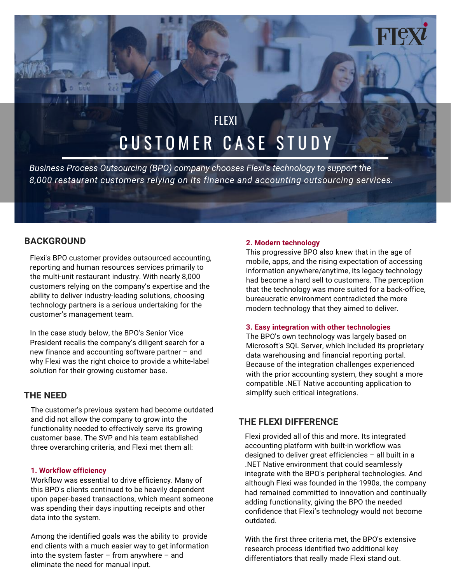# CUSTOMER CASE STUDY **FLEXI**

*Business Process Outsourcing (BPO) company chooses Flexi's technology to support the 8,000 restaurant customers relying on its finance and accounting outsourcing services.*

# **BACKGROUND**

Flexi's BPO customer provides outsourced accounting, reporting and human resources services primarily to the multi-unit restaurant industry. With nearly 8,000 customers relying on the company's expertise and the ability to deliver industry-leading solutions, choosing technology partners is a serious undertaking for the customer's management team.

In the case study below, the BPO's Senior Vice President recalls the company's diligent search for a new finance and accounting software partner – and why Flexi was the right choice to provide a white-label solution for their growing customer base.

## **THE NEED**

The customer's previous system had become outdated and did not allow the company to grow into the functionality needed to effectively serve its growing customer base. The SVP and his team established three overarching criteria, and Flexi met them all:

#### **1. Workflow efficiency**

Workflow was essential to drive efficiency. Many of this BPO's clients continued to be heavily dependent upon paper-based transactions, which meant someone was spending their days inputting receipts and other data into the system.

Among the identified goals was the ability to provide end clients with a much easier way to get information into the system faster – from anywhere – and eliminate the need for manual input.

#### **2. Modern technology**

This progressive BPO also knew that in the age of mobile, apps, and the rising expectation of accessing information anywhere/anytime, its legacy technology had become a hard sell to customers. The perception that the technology was more suited for a back-office, bureaucratic environment contradicted the more modern technology that they aimed to deliver.

#### **3. Easy integration with other technologies**

The BPO's own technology was largely based on Microsoft's SQL Server, which included its proprietary data warehousing and financial reporting portal. Because of the integration challenges experienced with the prior accounting system, they sought a more compatible .NET Native accounting application to simplify such critical integrations.

# **THE FLEXI DIFFERENCE**

Flexi provided all of this and more. Its integrated accounting platform with built-in workflow was designed to deliver great efficiencies – all built in a .NET Native environment that could seamlessly integrate with the BPO's peripheral technologies. And although Flexi was founded in the 1990s, the company had remained committed to innovation and continually adding functionality, giving the BPO the needed confidence that Flexi's technology would not become outdated.

With the first three criteria met, the BPO's extensive research process identified two additional key differentiators that really made Flexi stand out.